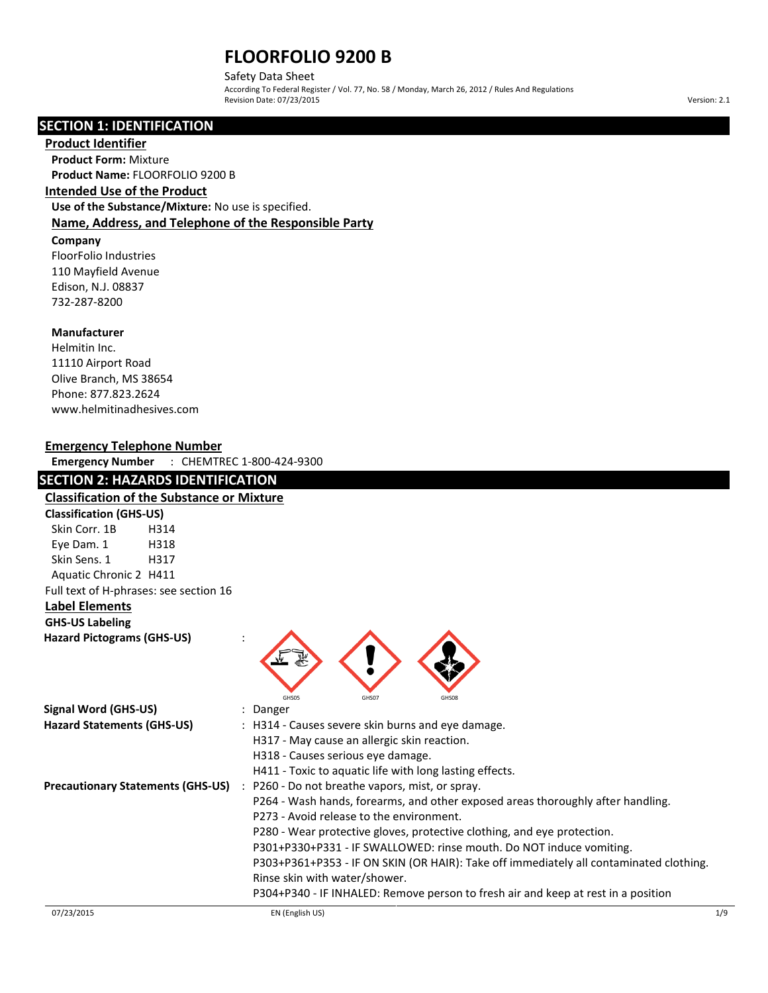Safety Data Sheet According To Federal Register / Vol. 77, No. 58 / Monday, March 26, 2012 / Rules And Regulations Revision Date: 07/23/2015 Version: 2.1

# **SECTION 1: IDENTIFICATION**

### **Product Identifier**

**Product Form:** Mixture **Product Name:** FLOORFOLIO 9200 B

# **Intended Use of the Product**

**Use of the Substance/Mixture:** No use is specified. **Name, Address, and Telephone of the Responsible Party**

#### **Company**

FloorFolio Industries 110 Mayfield Avenue Edison, N.J. 08837 732-287-8200

# **Manufacturer**

Helmitin Inc. 11110 Airport Road Olive Branch, MS 38654 Phone: 877.823.2624 www.helmitinadhesives.com

### **Emergency Telephone Number**

**Emergency Number** : CHEMTREC 1-800-424-9300

# **SECTION 2: HAZARDS IDENTIFICATION**

| <b>Classification of the Substance or Mixture</b>     |                                                                                        |
|-------------------------------------------------------|----------------------------------------------------------------------------------------|
| <b>Classification (GHS-US)</b>                        |                                                                                        |
| Skin Corr. 1B<br>H314                                 |                                                                                        |
| Eye Dam. 1<br>H318                                    |                                                                                        |
| Skin Sens. 1<br>H317                                  |                                                                                        |
| Aquatic Chronic 2 H411                                |                                                                                        |
| Full text of H-phrases: see section 16                |                                                                                        |
| <b>Label Elements</b>                                 |                                                                                        |
| <b>GHS-US Labeling</b>                                |                                                                                        |
| <b>Hazard Pictograms (GHS-US)</b>                     |                                                                                        |
|                                                       | GHS05<br>GHS07<br>GHS08                                                                |
| <b>Signal Word (GHS-US)</b>                           | Danger                                                                                 |
| <b>Hazard Statements (GHS-US)</b>                     | : H314 - Causes severe skin burns and eye damage.                                      |
|                                                       | H317 - May cause an allergic skin reaction.                                            |
|                                                       | H318 - Causes serious eye damage.                                                      |
|                                                       | H411 - Toxic to aquatic life with long lasting effects.                                |
| <b>Precautionary Statements (GHS-US)</b><br>$\cdot$ : | P260 - Do not breathe vapors, mist, or spray.                                          |
|                                                       | P264 - Wash hands, forearms, and other exposed areas thoroughly after handling.        |
|                                                       | P273 - Avoid release to the environment.                                               |
|                                                       | P280 - Wear protective gloves, protective clothing, and eye protection.                |
|                                                       | P301+P330+P331 - IF SWALLOWED: rinse mouth. Do NOT induce vomiting.                    |
|                                                       | P303+P361+P353 - IF ON SKIN (OR HAIR): Take off immediately all contaminated clothing. |
|                                                       | Rinse skin with water/shower.                                                          |
|                                                       | P304+P340 - IF INHALED: Remove person to fresh air and keep at rest in a position      |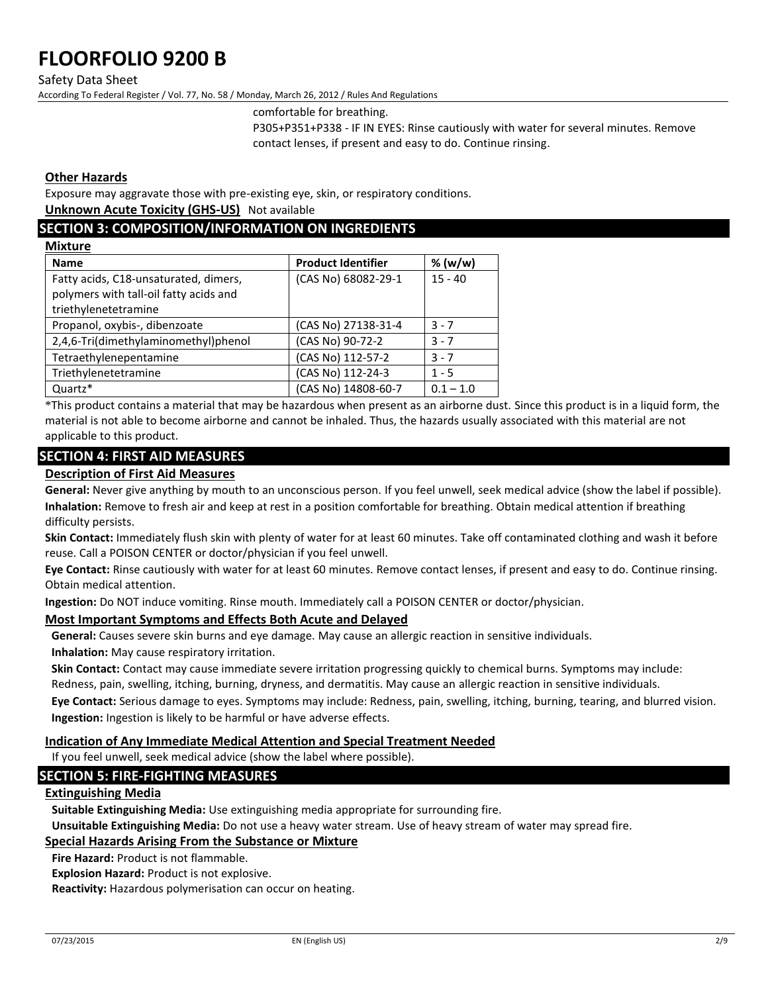#### Safety Data Sheet

According To Federal Register / Vol. 77, No. 58 / Monday, March 26, 2012 / Rules And Regulations

comfortable for breathing.

P305+P351+P338 - IF IN EYES: Rinse cautiously with water for several minutes. Remove contact lenses, if present and easy to do. Continue rinsing.

### **Other Hazards**

**Mixture**

Exposure may aggravate those with pre-existing eye, skin, or respiratory conditions.

**Unknown Acute Toxicity (GHS-US)** Not available

# **SECTION 3: COMPOSITION/INFORMATION ON INGREDIENTS**

| <b>NIXTURE</b>                                                                                          |                           |             |
|---------------------------------------------------------------------------------------------------------|---------------------------|-------------|
| <b>Name</b>                                                                                             | <b>Product Identifier</b> | % (w/w)     |
| Fatty acids, C18-unsaturated, dimers,<br>polymers with tall-oil fatty acids and<br>triethylenetetramine | (CAS No) 68082-29-1       | $15 - 40$   |
| Propanol, oxybis-, dibenzoate                                                                           | (CAS No) 27138-31-4       | $3 - 7$     |
| 2,4,6-Tri(dimethylaminomethyl)phenol                                                                    | (CAS No) 90-72-2          | $3 - 7$     |
| Tetraethylenepentamine                                                                                  | (CAS No) 112-57-2         | $3 - 7$     |
| Triethylenetetramine                                                                                    | (CAS No) 112-24-3         | $1 - 5$     |
| Quartz*                                                                                                 | (CAS No) 14808-60-7       | $0.1 - 1.0$ |
|                                                                                                         |                           |             |

\*This product contains a material that may be hazardous when present as an airborne dust. Since this product is in a liquid form, the material is not able to become airborne and cannot be inhaled. Thus, the hazards usually associated with this material are not applicable to this product.

# **SECTION 4: FIRST AID MEASURES**

### **Description of First Aid Measures**

**General:** Never give anything by mouth to an unconscious person. If you feel unwell, seek medical advice (show the label if possible). **Inhalation:** Remove to fresh air and keep at rest in a position comfortable for breathing. Obtain medical attention if breathing difficulty persists.

**Skin Contact:** Immediately flush skin with plenty of water for at least 60 minutes. Take off contaminated clothing and wash it before reuse. Call a POISON CENTER or doctor/physician if you feel unwell.

**Eye Contact:** Rinse cautiously with water for at least 60 minutes. Remove contact lenses, if present and easy to do. Continue rinsing. Obtain medical attention.

**Ingestion:** Do NOT induce vomiting. Rinse mouth. Immediately call a POISON CENTER or doctor/physician.

### **Most Important Symptoms and Effects Both Acute and Delayed**

**General:** Causes severe skin burns and eye damage. May cause an allergic reaction in sensitive individuals. **Inhalation:** May cause respiratory irritation.

**Skin Contact:** Contact may cause immediate severe irritation progressing quickly to chemical burns. Symptoms may include: Redness, pain, swelling, itching, burning, dryness, and dermatitis. May cause an allergic reaction in sensitive individuals.

**Eye Contact:** Serious damage to eyes. Symptoms may include: Redness, pain, swelling, itching, burning, tearing, and blurred vision. **Ingestion:** Ingestion is likely to be harmful or have adverse effects.

#### **Indication of Any Immediate Medical Attention and Special Treatment Needed**

If you feel unwell, seek medical advice (show the label where possible).

# **SECTION 5: FIRE-FIGHTING MEASURES**

# **Extinguishing Media**

**Suitable Extinguishing Media:** Use extinguishing media appropriate for surrounding fire.

**Unsuitable Extinguishing Media:** Do not use a heavy water stream. Use of heavy stream of water may spread fire.

# **Special Hazards Arising From the Substance or Mixture**

**Fire Hazard:** Product is not flammable.

**Explosion Hazard:** Product is not explosive.

**Reactivity:** Hazardous polymerisation can occur on heating.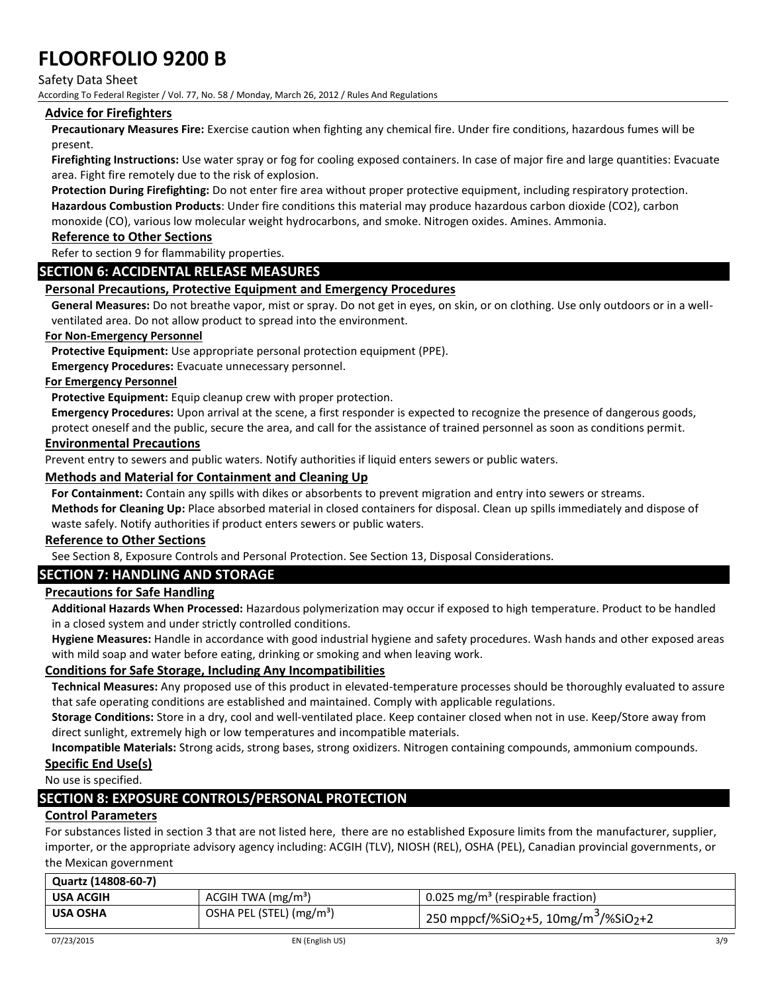Safety Data Sheet

According To Federal Register / Vol. 77, No. 58 / Monday, March 26, 2012 / Rules And Regulations

# **Advice for Firefighters**

**Precautionary Measures Fire:** Exercise caution when fighting any chemical fire. Under fire conditions, hazardous fumes will be present.

**Firefighting Instructions:** Use water spray or fog for cooling exposed containers. In case of major fire and large quantities: Evacuate area. Fight fire remotely due to the risk of explosion.

**Protection During Firefighting:** Do not enter fire area without proper protective equipment, including respiratory protection. **Hazardous Combustion Products**: Under fire conditions this material may produce hazardous carbon dioxide (CO2), carbon monoxide (CO), various low molecular weight hydrocarbons, and smoke. Nitrogen oxides. Amines. Ammonia.

### **Reference to Other Sections**

Refer to section 9 for flammability properties.

# **SECTION 6: ACCIDENTAL RELEASE MEASURES**

# **Personal Precautions, Protective Equipment and Emergency Procedures**

**General Measures:** Do not breathe vapor, mist or spray. Do not get in eyes, on skin, or on clothing. Use only outdoors or in a wellventilated area. Do not allow product to spread into the environment.

#### **For Non-Emergency Personnel**

**Protective Equipment:** Use appropriate personal protection equipment (PPE).

**Emergency Procedures:** Evacuate unnecessary personnel.

# **For Emergency Personnel**

**Protective Equipment:** Equip cleanup crew with proper protection.

**Emergency Procedures:** Upon arrival at the scene, a first responder is expected to recognize the presence of dangerous goods, protect oneself and the public, secure the area, and call for the assistance of trained personnel as soon as conditions permit.

#### **Environmental Precautions**

Prevent entry to sewers and public waters. Notify authorities if liquid enters sewers or public waters.

# **Methods and Material for Containment and Cleaning Up**

**For Containment:** Contain any spills with dikes or absorbents to prevent migration and entry into sewers or streams.

**Methods for Cleaning Up:** Place absorbed material in closed containers for disposal. Clean up spills immediately and dispose of waste safely. Notify authorities if product enters sewers or public waters.

#### **Reference to Other Sections**

See Section 8, Exposure Controls and Personal Protection. See Section 13, Disposal Considerations.

# **SECTION 7: HANDLING AND STORAGE**

# **Precautions for Safe Handling**

**Additional Hazards When Processed:** Hazardous polymerization may occur if exposed to high temperature. Product to be handled in a closed system and under strictly controlled conditions.

**Hygiene Measures:** Handle in accordance with good industrial hygiene and safety procedures. Wash hands and other exposed areas with mild soap and water before eating, drinking or smoking and when leaving work.

# **Conditions for Safe Storage, Including Any Incompatibilities**

**Technical Measures:** Any proposed use of this product in elevated-temperature processes should be thoroughly evaluated to assure that safe operating conditions are established and maintained. Comply with applicable regulations.

**Storage Conditions:** Store in a dry, cool and well-ventilated place. Keep container closed when not in use. Keep/Store away from direct sunlight, extremely high or low temperatures and incompatible materials.

**Incompatible Materials:** Strong acids, strong bases, strong oxidizers. Nitrogen containing compounds, ammonium compounds. **Specific End Use(s)**

# No use is specified.

# **SECTION 8: EXPOSURE CONTROLS/PERSONAL PROTECTION**

# **Control Parameters**

For substances listed in section 3 that are not listed here, there are no established Exposure limits from the manufacturer, supplier, importer, or the appropriate advisory agency including: ACGIH (TLV), NIOSH (REL), OSHA (PEL), Canadian provincial governments, or the Mexican government

| Quartz (14808-60-7) |                                      |                                                                           |
|---------------------|--------------------------------------|---------------------------------------------------------------------------|
| <b>USA ACGIH</b>    | $ACGIH TWA$ (mg/m <sup>3</sup> )     | 0.025 mg/m <sup>3</sup> (respirable fraction)                             |
| <b>USA OSHA</b>     | OSHA PEL (STEL) (mg/m <sup>3</sup> ) | 250 mppcf/%SiO <sub>2</sub> +5, 10mg/m <sup>3</sup> /%SiO <sub>2</sub> +2 |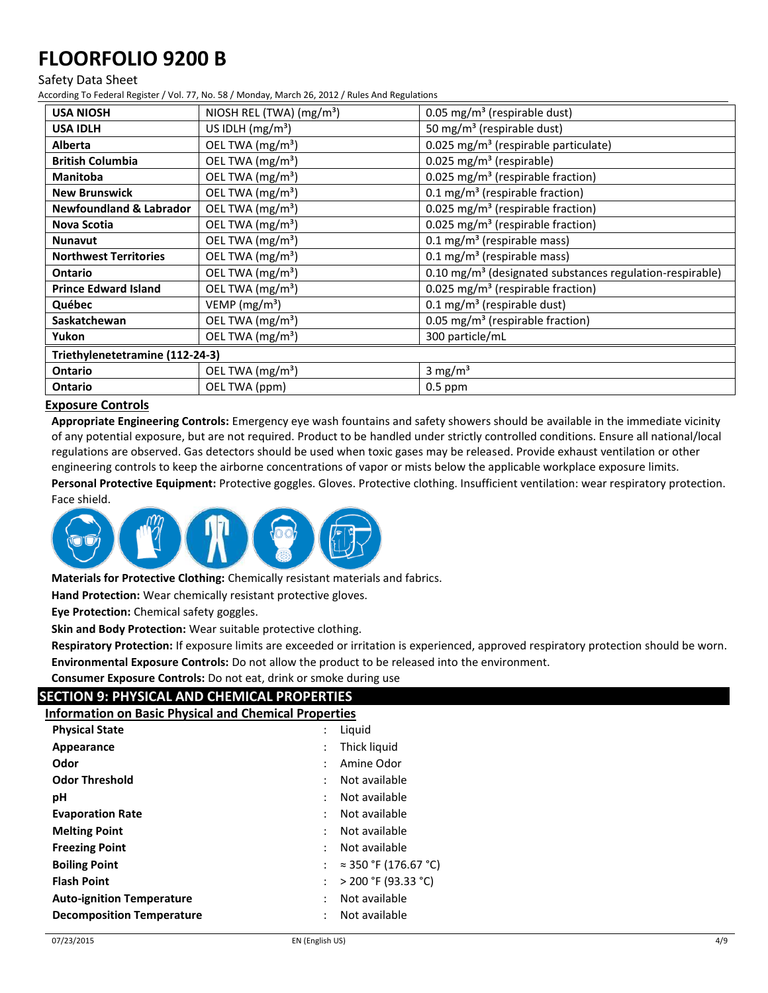#### Safety Data Sheet

According To Federal Register / Vol. 77, No. 58 / Monday, March 26, 2012 / Rules And Regulations

| <b>USA NIOSH</b>                   | NIOSH REL (TWA) (mg/m <sup>3</sup> ) | 0.05 mg/m <sup>3</sup> (respirable dust)                             |
|------------------------------------|--------------------------------------|----------------------------------------------------------------------|
|                                    |                                      |                                                                      |
| <b>USA IDLH</b>                    | US IDLH $(mg/m3)$                    | 50 mg/m <sup>3</sup> (respirable dust)                               |
| <b>Alberta</b>                     | OEL TWA (mg/m <sup>3</sup> )         | 0.025 mg/m <sup>3</sup> (respirable particulate)                     |
| <b>British Columbia</b>            | OEL TWA (mg/m <sup>3</sup> )         | $0.025$ mg/m <sup>3</sup> (respirable)                               |
| <b>Manitoba</b>                    | OEL TWA (mg/m <sup>3</sup> )         | 0.025 mg/m <sup>3</sup> (respirable fraction)                        |
| <b>New Brunswick</b>               | OEL TWA (mg/m <sup>3</sup> )         | 0.1 mg/m <sup>3</sup> (respirable fraction)                          |
| <b>Newfoundland &amp; Labrador</b> | OEL TWA (mg/m <sup>3</sup> )         | 0.025 mg/m <sup>3</sup> (respirable fraction)                        |
| Nova Scotia                        | OEL TWA (mg/m <sup>3</sup> )         | 0.025 mg/m <sup>3</sup> (respirable fraction)                        |
| <b>Nunavut</b>                     | OEL TWA (mg/m <sup>3</sup> )         | 0.1 mg/m <sup>3</sup> (respirable mass)                              |
| <b>Northwest Territories</b>       | OEL TWA (mg/m <sup>3</sup> )         | 0.1 mg/m <sup>3</sup> (respirable mass)                              |
| <b>Ontario</b>                     | OEL TWA (mg/m <sup>3</sup> )         | 0.10 mg/m <sup>3</sup> (designated substances regulation-respirable) |
| <b>Prince Edward Island</b>        | OEL TWA (mg/m <sup>3</sup> )         | 0.025 mg/m <sup>3</sup> (respirable fraction)                        |
| Québec                             | VEMP ( $mg/m3$ )                     | 0.1 mg/m <sup>3</sup> (respirable dust)                              |
| Saskatchewan                       | OEL TWA (mg/m <sup>3</sup> )         | 0.05 mg/m <sup>3</sup> (respirable fraction)                         |
| Yukon                              | OEL TWA (mg/m <sup>3</sup> )         | 300 particle/mL                                                      |
| Triethylenetetramine (112-24-3)    |                                      |                                                                      |
| <b>Ontario</b>                     | OEL TWA (mg/m <sup>3</sup> )         | 3 mg/ $m3$                                                           |
| Ontario                            | OEL TWA (ppm)                        | $0.5$ ppm                                                            |

# **Exposure Controls**

**Appropriate Engineering Controls:** Emergency eye wash fountains and safety showers should be available in the immediate vicinity of any potential exposure, but are not required. Product to be handled under strictly controlled conditions. Ensure all national/local regulations are observed. Gas detectors should be used when toxic gases may be released. Provide exhaust ventilation or other engineering controls to keep the airborne concentrations of vapor or mists below the applicable workplace exposure limits.

**Personal Protective Equipment:** Protective goggles. Gloves. Protective clothing. Insufficient ventilation: wear respiratory protection. Face shield.



**Materials for Protective Clothing:** Chemically resistant materials and fabrics.

**Hand Protection:** Wear chemically resistant protective gloves.

**Eye Protection:** Chemical safety goggles.

**Skin and Body Protection:** Wear suitable protective clothing.

**Respiratory Protection:** If exposure limits are exceeded or irritation is experienced, approved respiratory protection should be worn. **Environmental Exposure Controls:** Do not allow the product to be released into the environment.

**Consumer Exposure Controls:** Do not eat, drink or smoke during use

# **SECTION 9: PHYSICAL AND CHEMICAL PROPERTIES**

**Information on Basic Physical and Chemical Properties**

| <b>Physical State</b>            | Liquid                |
|----------------------------------|-----------------------|
| Appearance                       | Thick liquid          |
| Odor                             | Amine Odor            |
| <b>Odor Threshold</b>            | Not available         |
| рH                               | Not available         |
| <b>Evaporation Rate</b>          | Not available         |
| <b>Melting Point</b>             | Not available         |
| <b>Freezing Point</b>            | Not available         |
| <b>Boiling Point</b>             | ≈ 350 °F (176.67 °C)  |
| <b>Flash Point</b>               | $>$ 200 °F (93.33 °C) |
| <b>Auto-ignition Temperature</b> | Not available         |
| <b>Decomposition Temperature</b> | Not available         |
|                                  |                       |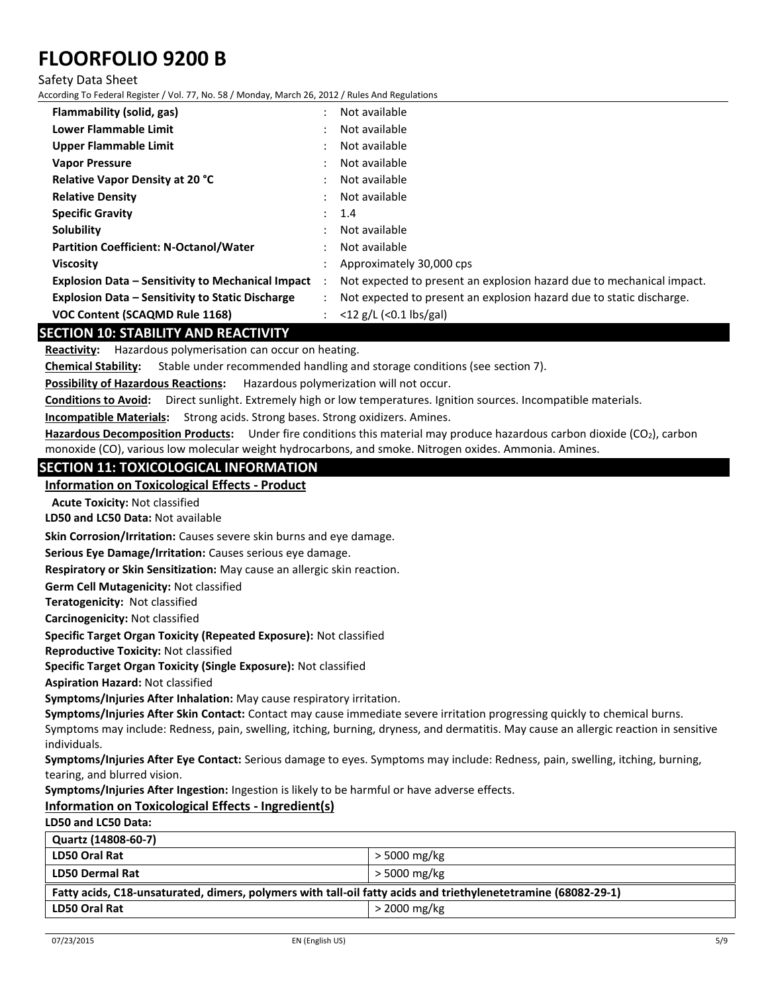#### Safety Data Sheet

According To Federal Register / Vol. 77, No. 58 / Monday, March 26, 2012 / Rules And Regulations

| Flammability (solid, gas)                                | Not available                                                         |
|----------------------------------------------------------|-----------------------------------------------------------------------|
| Lower Flammable Limit                                    | Not available                                                         |
| <b>Upper Flammable Limit</b>                             | Not available                                                         |
| <b>Vapor Pressure</b>                                    | Not available                                                         |
| <b>Relative Vapor Density at 20 °C</b>                   | Not available                                                         |
| <b>Relative Density</b>                                  | Not available                                                         |
| <b>Specific Gravity</b>                                  | 1.4                                                                   |
| Solubility                                               | Not available                                                         |
| <b>Partition Coefficient: N-Octanol/Water</b>            | Not available                                                         |
| <b>Viscosity</b>                                         | Approximately 30,000 cps                                              |
| <b>Explosion Data - Sensitivity to Mechanical Impact</b> | Not expected to present an explosion hazard due to mechanical impact. |
| <b>Explosion Data - Sensitivity to Static Discharge</b>  | Not expected to present an explosion hazard due to static discharge.  |
| <b>VOC Content (SCAQMD Rule 1168)</b>                    | $<$ 12 g/L ( $<$ 0.1 lbs/gal)                                         |

# **SECTION 10: STABILITY AND REACTIVITY**

**Reactivity:** Hazardous polymerisation can occur on heating.

**Chemical Stability:** Stable under recommended handling and storage conditions (see section 7).

**Possibility of Hazardous Reactions:** Hazardous polymerization will not occur.

**Conditions to Avoid:** Direct sunlight. Extremely high or low temperatures. Ignition sources. Incompatible materials.

**Incompatible Materials:** Strong acids. Strong bases. Strong oxidizers. Amines.

Hazardous Decomposition Products: Under fire conditions this material may produce hazardous carbon dioxide (CO<sub>2</sub>), carbon monoxide (CO), various low molecular weight hydrocarbons, and smoke. Nitrogen oxides. Ammonia. Amines.

#### **SECTION 11: TOXICOLOGICAL INFORMATION**

# **Information on Toxicological Effects - Product**

**Acute Toxicity:** Not classified

**LD50 and LC50 Data:** Not available

**Skin Corrosion/Irritation:** Causes severe skin burns and eye damage.

**Serious Eye Damage/Irritation:** Causes serious eye damage.

**Respiratory or Skin Sensitization:** May cause an allergic skin reaction.

**Germ Cell Mutagenicity:** Not classified

**Teratogenicity:** Not classified

**Carcinogenicity:** Not classified

**Specific Target Organ Toxicity (Repeated Exposure):** Not classified

**Reproductive Toxicity:** Not classified

**Specific Target Organ Toxicity (Single Exposure):** Not classified

**Aspiration Hazard:** Not classified

**Symptoms/Injuries After Inhalation:** May cause respiratory irritation.

**Symptoms/Injuries After Skin Contact:** Contact may cause immediate severe irritation progressing quickly to chemical burns.

Symptoms may include: Redness, pain, swelling, itching, burning, dryness, and dermatitis. May cause an allergic reaction in sensitive individuals.

**Symptoms/Injuries After Eye Contact:** Serious damage to eyes. Symptoms may include: Redness, pain, swelling, itching, burning, tearing, and blurred vision.

**Symptoms/Injuries After Ingestion:** Ingestion is likely to be harmful or have adverse effects.

# **Information on Toxicological Effects - Ingredient(s)**

### **LD50 and LC50 Data:**

| Quartz (14808-60-7)                                                                                            |                |  |
|----------------------------------------------------------------------------------------------------------------|----------------|--|
| <b>LD50 Oral Rat</b>                                                                                           | > 5000 mg/kg   |  |
| <b>LD50 Dermal Rat</b>                                                                                         | > 5000 mg/kg   |  |
| Fatty acids, C18-unsaturated, dimers, polymers with tall-oil fatty acids and triethylenetetramine (68082-29-1) |                |  |
| <b>LD50 Oral Rat</b>                                                                                           | $>$ 2000 mg/kg |  |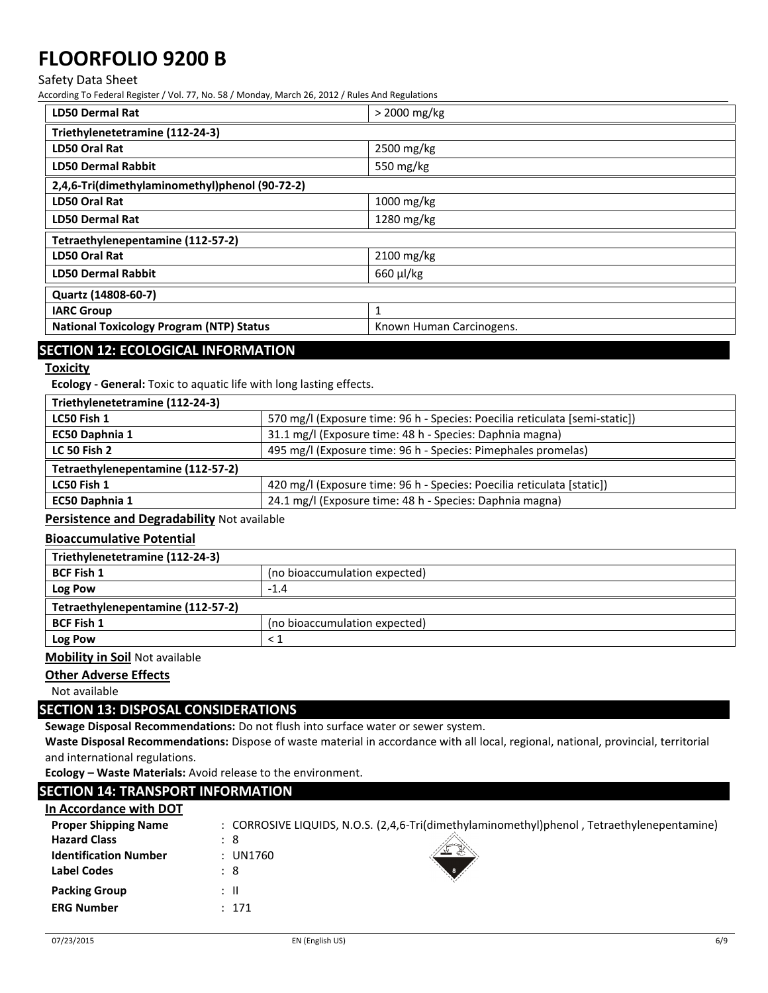#### Safety Data Sheet

According To Federal Register / Vol. 77, No. 58 / Monday, March 26, 2012 / Rules And Regulations

| <b>LD50 Dermal Rat</b>                          | $>$ 2000 mg/kg           |  |
|-------------------------------------------------|--------------------------|--|
| Triethylenetetramine (112-24-3)                 |                          |  |
| LD50 Oral Rat                                   | 2500 mg/kg               |  |
| <b>LD50 Dermal Rabbit</b>                       | 550 mg/kg                |  |
| 2,4,6-Tri(dimethylaminomethyl)phenol (90-72-2)  |                          |  |
| LD50 Oral Rat                                   | $1000 \,\mathrm{mg/kg}$  |  |
| <b>LD50 Dermal Rat</b>                          | $1280$ mg/kg             |  |
| Tetraethylenepentamine (112-57-2)               |                          |  |
| LD50 Oral Rat                                   | 2100 mg/kg               |  |
| <b>LD50 Dermal Rabbit</b>                       | $660 \mu$ J/kg           |  |
| Quartz (14808-60-7)                             |                          |  |
| <b>IARC Group</b>                               | 1                        |  |
| <b>National Toxicology Program (NTP) Status</b> | Known Human Carcinogens. |  |

# **SECTION 12: ECOLOGICAL INFORMATION**

# **Toxicity**

**Ecology - General:** Toxic to aquatic life with long lasting effects.

| Triethylenetetramine (112-24-3)   |                                                                             |
|-----------------------------------|-----------------------------------------------------------------------------|
| LC50 Fish 1                       | 570 mg/l (Exposure time: 96 h - Species: Poecilia reticulata [semi-static]) |
| EC50 Daphnia 1                    | 31.1 mg/l (Exposure time: 48 h - Species: Daphnia magna)                    |
| <b>LC 50 Fish 2</b>               | 495 mg/l (Exposure time: 96 h - Species: Pimephales promelas)               |
| Tetraethylenepentamine (112-57-2) |                                                                             |
| LC50 Fish 1                       | 420 mg/l (Exposure time: 96 h - Species: Poecilia reticulata [static])      |
| EC50 Daphnia 1                    | 24.1 mg/l (Exposure time: 48 h - Species: Daphnia magna)                    |
|                                   |                                                                             |

**Persistence and Degradability** Not available

# **Bioaccumulative Potential**

| Triethylenetetramine (112-24-3)   |                               |  |
|-----------------------------------|-------------------------------|--|
| <b>BCF Fish 1</b>                 | (no bioaccumulation expected) |  |
| Log Pow                           | $-1.4$                        |  |
| Tetraethylenepentamine (112-57-2) |                               |  |
| <b>BCF Fish 1</b>                 | (no bioaccumulation expected) |  |
| Log Pow                           | $\leq$ 1                      |  |

**Mobility in Soil** Not available

# **Other Adverse Effects**

Not available

# **SECTION 13: DISPOSAL CONSIDERATIONS**

**Sewage Disposal Recommendations:** Do not flush into surface water or sewer system.

**Waste Disposal Recommendations:** Dispose of waste material in accordance with all local, regional, national, provincial, territorial and international regulations.

**Ecology – Waste Materials:** Avoid release to the environment.

# **SECTION 14: TRANSPORT INFORMATION**

| In Accordance with DOT       |                                                                                            |
|------------------------------|--------------------------------------------------------------------------------------------|
| <b>Proper Shipping Name</b>  | : CORROSIVE LIQUIDS, N.O.S. (2,4,6-Tri(dimethylaminomethyl)phenol, Tetraethylenepentamine) |
| <b>Hazard Class</b>          | : 8                                                                                        |
| <b>Identification Number</b> | : UN1760<br>$\sim$                                                                         |
| <b>Label Codes</b>           | : 8                                                                                        |
| <b>Packing Group</b>         | : II                                                                                       |
| <b>ERG Number</b>            | : 171                                                                                      |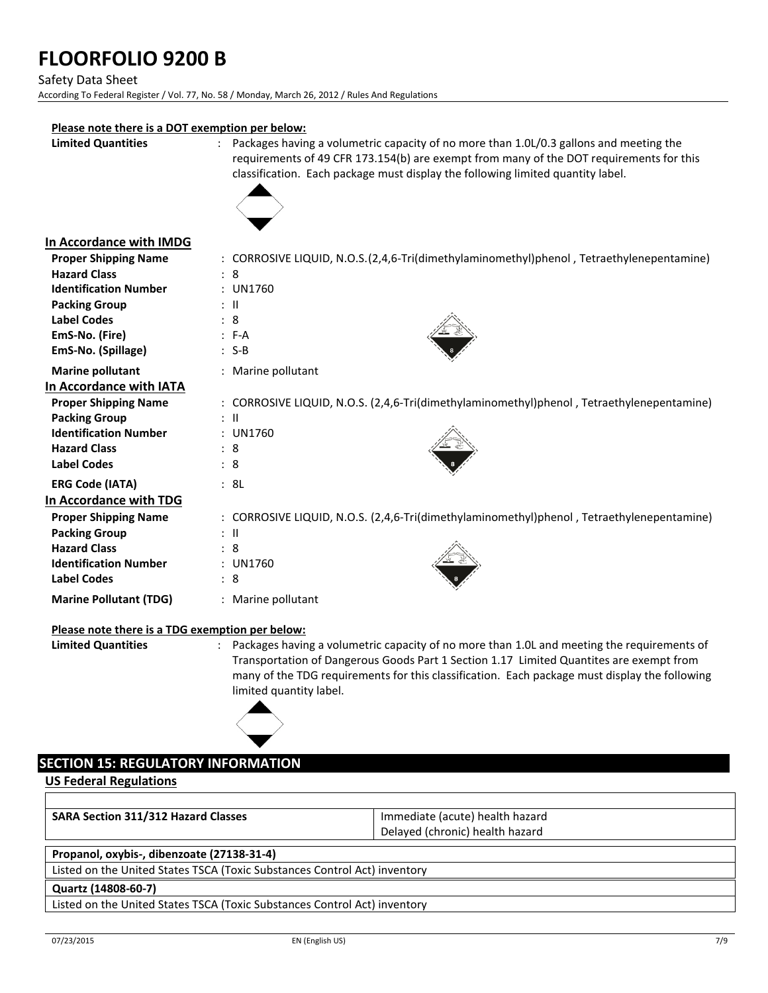Safety Data Sheet

According To Federal Register / Vol. 77, No. 58 / Monday, March 26, 2012 / Rules And Regulations

# **Please note there is a DOT exemption per below:**

**Limited Quantities** : Packages having a volumetric capacity of no more than 1.0L/0.3 gallons and meeting the requirements of 49 CFR 173.154(b) are exempt from many of the DOT requirements for this classification. Each package must display the following limited quantity label.



# **In Accordance with IMDG**

| <b>Proper Shipping Name</b>   | : CORROSIVE LIQUID, N.O.S.(2,4,6-Tri(dimethylaminomethyl)phenol, Tetraethylenepentamine)  |
|-------------------------------|-------------------------------------------------------------------------------------------|
| <b>Hazard Class</b>           | : 8                                                                                       |
| <b>Identification Number</b>  | : UN1760                                                                                  |
| <b>Packing Group</b>          | $\therefore$ $\blacksquare$                                                               |
| <b>Label Codes</b>            | : 8                                                                                       |
| EmS-No. (Fire)                | $: F-A$                                                                                   |
| EmS-No. (Spillage)            | $: S-B$                                                                                   |
| <b>Marine pollutant</b>       | : Marine pollutant                                                                        |
| In Accordance with IATA       |                                                                                           |
| <b>Proper Shipping Name</b>   | : CORROSIVE LIQUID, N.O.S. (2,4,6-Tri(dimethylaminomethyl)phenol, Tetraethylenepentamine) |
| <b>Packing Group</b>          | ÷Ш                                                                                        |
| <b>Identification Number</b>  | : UN1760                                                                                  |
| <b>Hazard Class</b>           | : 8                                                                                       |
| <b>Label Codes</b>            | : 8                                                                                       |
| <b>ERG Code (IATA)</b>        | : 8L                                                                                      |
| In Accordance with TDG        |                                                                                           |
| <b>Proper Shipping Name</b>   | : CORROSIVE LIQUID, N.O.S. (2,4,6-Tri(dimethylaminomethyl)phenol, Tetraethylenepentamine) |
| <b>Packing Group</b>          | $\therefore$ $\blacksquare$                                                               |
| <b>Hazard Class</b>           | : 8                                                                                       |
| <b>Identification Number</b>  | : UN1760                                                                                  |
| <b>Label Codes</b>            | : 8                                                                                       |
| <b>Marine Pollutant (TDG)</b> | : Marine pollutant                                                                        |
|                               |                                                                                           |

# **Please note there is a TDG exemption per below:**

**Limited Quantities** : Packages having a volumetric capacity of no more than 1.0L and meeting the requirements of Transportation of Dangerous Goods Part 1 Section 1.17 Limited Quantites are exempt from many of the TDG requirements for this classification. Each package must display the following limited quantity label.

# **SECTION 15: REGULATORY INFORMATION**

**US Federal Regulations**

| <b>SARA Section 311/312 Hazard Classes</b>                                | Immediate (acute) health hazard |  |
|---------------------------------------------------------------------------|---------------------------------|--|
|                                                                           | Delayed (chronic) health hazard |  |
|                                                                           |                                 |  |
| Propanol, oxybis-, dibenzoate (27138-31-4)                                |                                 |  |
| Listed on the United States TSCA (Toxic Substances Control Act) inventory |                                 |  |
| Quartz (14808-60-7)                                                       |                                 |  |
| Listed on the United States TSCA (Toyis Substances Control Act) inventory |                                 |  |

Listed on the United States TSCA (Toxic Substances Control Act) inventory

Г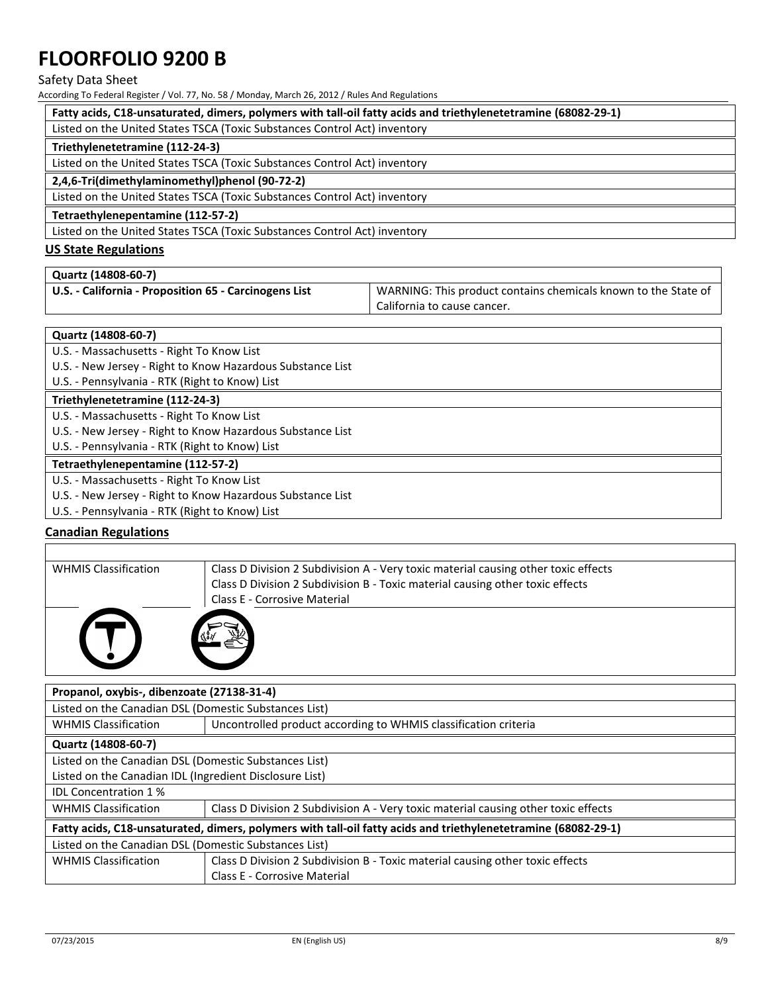#### Safety Data Sheet

According To Federal Register / Vol. 77, No. 58 / Monday, March 26, 2012 / Rules And Regulations

| Fatty acids, C18-unsaturated, dimers, polymers with tall-oil fatty acids and triethylenetetramine (68082-29-1) |  |  |
|----------------------------------------------------------------------------------------------------------------|--|--|
| Listed on the United States TSCA (Toxic Substances Control Act) inventory                                      |  |  |
| Triethylenetetramine (112-24-3)                                                                                |  |  |
| Listed on the United States TSCA (Toxic Substances Control Act) inventory                                      |  |  |
| 2,4,6-Tri(dimethylaminomethyl)phenol (90-72-2)                                                                 |  |  |
| Listed on the United States TSCA (Toxic Substances Control Act) inventory                                      |  |  |
| Tetraethylenepentamine (112-57-2)                                                                              |  |  |
| Listed on the United States TSCA (Toxic Substances Control Act) inventory                                      |  |  |

# **US State Regulations**

| Quartz (14808-60-7)                                   |                                                                |
|-------------------------------------------------------|----------------------------------------------------------------|
| U.S. - California - Proposition 65 - Carcinogens List | WARNING: This product contains chemicals known to the State of |
|                                                       | California to cause cancer.                                    |

#### **Quartz (14808-60-7)**

- U.S. Massachusetts Right To Know List
- U.S. New Jersey Right to Know Hazardous Substance List
- U.S. Pennsylvania RTK (Right to Know) List

### **Triethylenetetramine (112-24-3)**

- U.S. Massachusetts Right To Know List
- U.S. New Jersey Right to Know Hazardous Substance List
- U.S. Pennsylvania RTK (Right to Know) List

# **Tetraethylenepentamine (112-57-2)**

- U.S. Massachusetts Right To Know List
- U.S. New Jersey Right to Know Hazardous Substance List
- U.S. Pennsylvania RTK (Right to Know) List

# **Canadian Regulations**

| <b>WHMIS Classification</b> | Class D Division 2 Subdivision A - Very toxic material causing other toxic effects |  |
|-----------------------------|------------------------------------------------------------------------------------|--|
|                             | Class D Division 2 Subdivision B - Toxic material causing other toxic effects      |  |
|                             | <b>Class E - Corrosive Material</b>                                                |  |
|                             |                                                                                    |  |

| Propanol, oxybis-, dibenzoate (27138-31-4)                                                                     |                                                                                    |  |
|----------------------------------------------------------------------------------------------------------------|------------------------------------------------------------------------------------|--|
| Listed on the Canadian DSL (Domestic Substances List)                                                          |                                                                                    |  |
| <b>WHMIS Classification</b>                                                                                    | Uncontrolled product according to WHMIS classification criteria                    |  |
| Quartz (14808-60-7)                                                                                            |                                                                                    |  |
| Listed on the Canadian DSL (Domestic Substances List)                                                          |                                                                                    |  |
| Listed on the Canadian IDL (Ingredient Disclosure List)                                                        |                                                                                    |  |
| <b>IDL Concentration 1%</b>                                                                                    |                                                                                    |  |
| <b>WHMIS Classification</b>                                                                                    | Class D Division 2 Subdivision A - Very toxic material causing other toxic effects |  |
| Fatty acids, C18-unsaturated, dimers, polymers with tall-oil fatty acids and triethylenetetramine (68082-29-1) |                                                                                    |  |
| Listed on the Canadian DSL (Domestic Substances List)                                                          |                                                                                    |  |
| <b>WHMIS Classification</b>                                                                                    | Class D Division 2 Subdivision B - Toxic material causing other toxic effects      |  |
|                                                                                                                | <b>Class E - Corrosive Material</b>                                                |  |